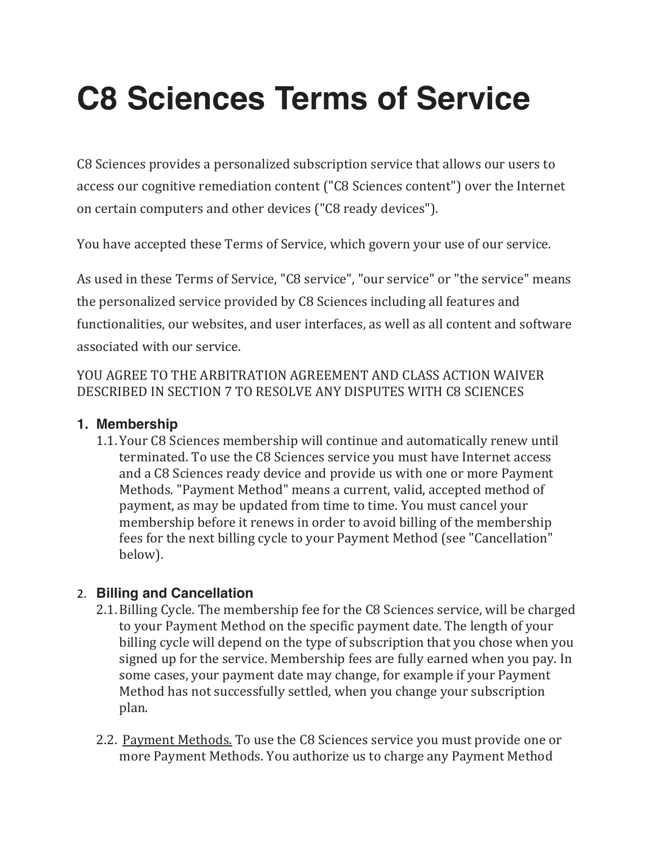# **C8 Sciences Terms of Service**

C8 Sciences provides a personalized subscription service that allows our users to access our cognitive remediation content ("C8 Sciences content") over the Internet on certain computers and other devices ("C8 ready devices").

You have accepted these Terms of Service, which govern your use of our service.

As used in these Terms of Service, "C8 service", "our service" or "the service" means the personalized service provided by C8 Sciences including all features and functionalities, our websites, and user interfaces, as well as all content and software associated with our service.

## YOU AGREE TO THE ARBITRATION AGREEMENT AND CLASS ACTION WAIVER DESCRIBED IN SECTION 7 TO RESOLVE ANY DISPUTES WITH C8 SCIENCES

# **1. Membership**

1.1. Your C8 Sciences membership will continue and automatically renew until terminated. To use the C8 Sciences service you must have Internet access and a C8 Sciences ready device and provide us with one or more Payment Methods. "Payment Method" means a current, valid, accepted method of payment, as may be updated from time to time. You must cancel your membership before it renews in order to avoid billing of the membership fees for the next billing cycle to your Payment Method (see "Cancellation" below).

# 2. **Billing and Cancellation**

- 2.1. Billing Cycle. The membership fee for the C8 Sciences service, will be charged to your Payment Method on the specific payment date. The length of your billing cycle will depend on the type of subscription that you chose when you signed up for the service. Membership fees are fully earned when you pay. In some cases, your payment date may change, for example if your Payment Method has not successfully settled, when you change your subscription plan.
- 2.2. Payment Methods. To use the C8 Sciences service you must provide one or more Payment Methods. You authorize us to charge any Payment Method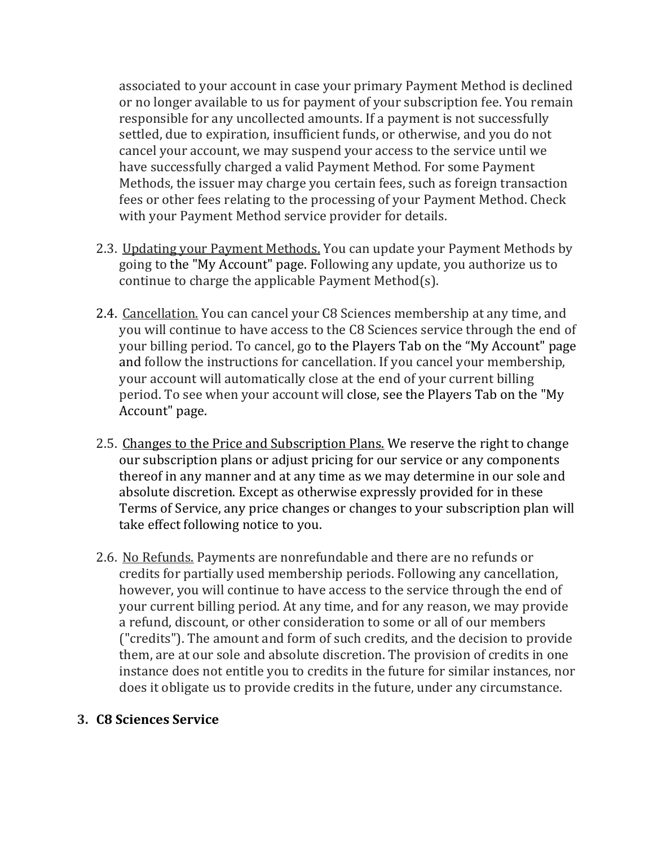associated to your account in case your primary Payment Method is declined or no longer available to us for payment of your subscription fee. You remain responsible for any uncollected amounts. If a payment is not successfully settled, due to expiration, insufficient funds, or otherwise, and you do not cancel your account, we may suspend your access to the service until we have successfully charged a valid Payment Method. For some Payment Methods, the issuer may charge you certain fees, such as foreign transaction fees or other fees relating to the processing of your Payment Method. Check with your Payment Method service provider for details.

- 2.3. Updating your Payment Methods. You can update your Payment Methods by going to the "My Account" page. Following any update, you authorize us to continue to charge the applicable Payment Method(s).
- 2.4. Cancellation. You can cancel your C8 Sciences membership at any time, and you will continue to have access to the C8 Sciences service through the end of your billing period. To cancel, go to the Players Tab on the "My Account" page and follow the instructions for cancellation. If you cancel your membership, your account will automatically close at the end of your current billing period. To see when your account will close, see the Players Tab on the "My Account" page.
- 2.5. Changes to the Price and Subscription Plans. We reserve the right to change our subscription plans or adjust pricing for our service or any components thereof in any manner and at any time as we may determine in our sole and absolute discretion. Except as otherwise expressly provided for in these Terms of Service, any price changes or changes to your subscription plan will take effect following notice to you.
- 2.6. No Refunds. Payments are nonrefundable and there are no refunds or credits for partially used membership periods. Following any cancellation, however, you will continue to have access to the service through the end of your current billing period. At any time, and for any reason, we may provide a refund, discount, or other consideration to some or all of our members ("credits"). The amount and form of such credits, and the decision to provide them, are at our sole and absolute discretion. The provision of credits in one instance does not entitle you to credits in the future for similar instances, nor does it obligate us to provide credits in the future, under any circumstance.

#### **3. C8 Sciences Service**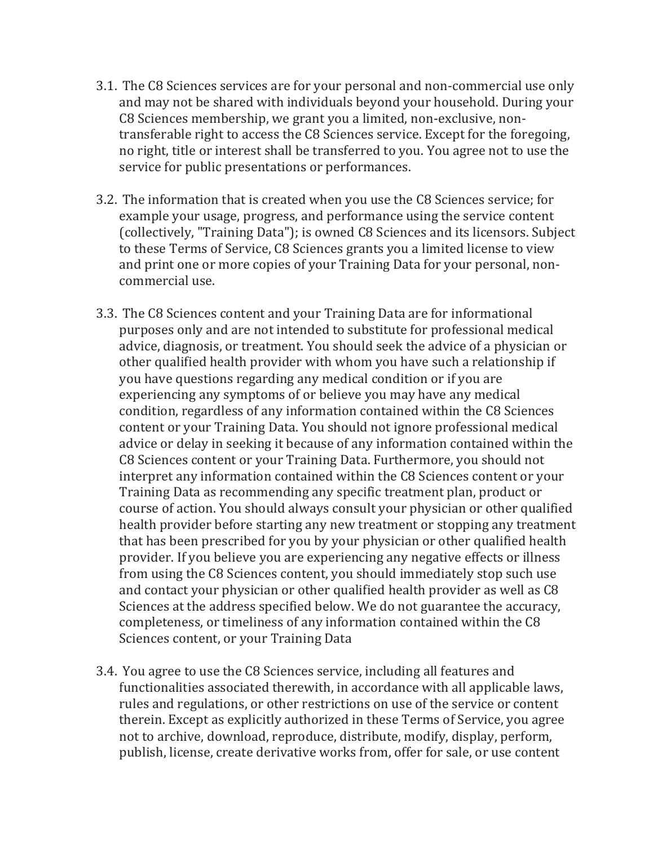- 3.1. The C8 Sciences services are for your personal and non-commercial use only and may not be shared with individuals beyond your household. During your C8 Sciences membership, we grant you a limited, non-exclusive, nontransferable right to access the C8 Sciences service. Except for the foregoing, no right, title or interest shall be transferred to you. You agree not to use the service for public presentations or performances.
- 3.2. The information that is created when you use the C8 Sciences service; for example your usage, progress, and performance using the service content (collectively, "Training Data"); is owned C8 Sciences and its licensors. Subject to these Terms of Service, C8 Sciences grants you a limited license to view and print one or more copies of your Training Data for your personal, noncommercial use.
- 3.3. The C8 Sciences content and your Training Data are for informational purposes only and are not intended to substitute for professional medical advice, diagnosis, or treatment. You should seek the advice of a physician or other qualified health provider with whom you have such a relationship if you have questions regarding any medical condition or if you are experiencing any symptoms of or believe you may have any medical condition, regardless of any information contained within the C8 Sciences content or your Training Data. You should not ignore professional medical advice or delay in seeking it because of any information contained within the C8 Sciences content or your Training Data. Furthermore, you should not interpret any information contained within the C8 Sciences content or your Training Data as recommending any specific treatment plan, product or course of action. You should always consult your physician or other qualified health provider before starting any new treatment or stopping any treatment that has been prescribed for you by your physician or other qualified health provider. If you believe you are experiencing any negative effects or illness from using the C8 Sciences content, you should immediately stop such use and contact your physician or other qualified health provider as well as C8 Sciences at the address specified below. We do not guarantee the accuracy, completeness, or timeliness of any information contained within the C8 Sciences content, or your Training Data
- 3.4. You agree to use the C8 Sciences service, including all features and functionalities associated therewith, in accordance with all applicable laws, rules and regulations, or other restrictions on use of the service or content therein. Except as explicitly authorized in these Terms of Service, you agree not to archive, download, reproduce, distribute, modify, display, perform, publish, license, create derivative works from, offer for sale, or use content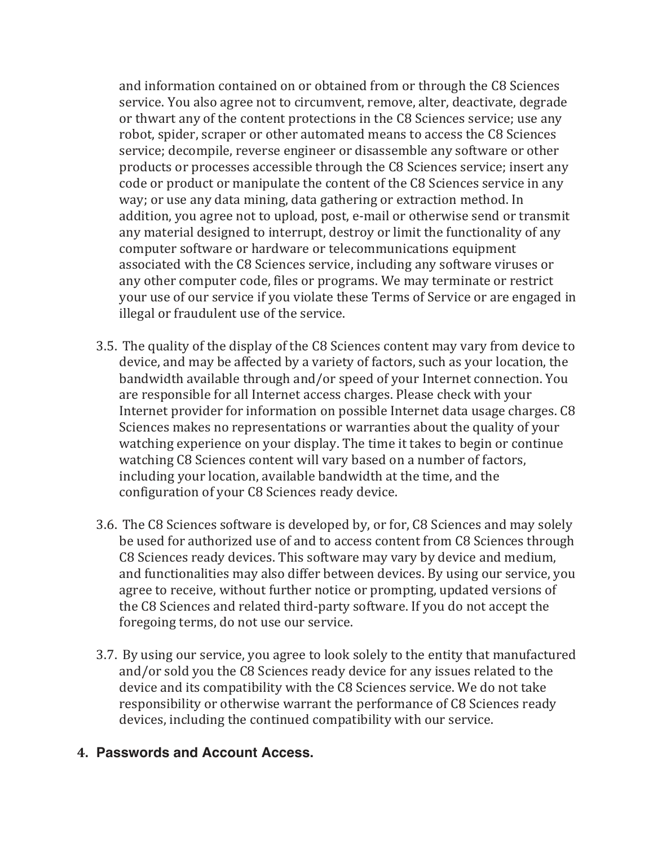and information contained on or obtained from or through the C8 Sciences service. You also agree not to circumvent, remove, alter, deactivate, degrade or thwart any of the content protections in the C8 Sciences service; use any robot, spider, scraper or other automated means to access the C8 Sciences service; decompile, reverse engineer or disassemble any software or other products or processes accessible through the C8 Sciences service; insert any code or product or manipulate the content of the C8 Sciences service in any way; or use any data mining, data gathering or extraction method. In addition, you agree not to upload, post, e-mail or otherwise send or transmit any material designed to interrupt, destroy or limit the functionality of any computer software or hardware or telecommunications equipment associated with the C8 Sciences service, including any software viruses or any other computer code, files or programs. We may terminate or restrict your use of our service if you violate these Terms of Service or are engaged in illegal or fraudulent use of the service.

- 3.5. The quality of the display of the C8 Sciences content may vary from device to device, and may be affected by a variety of factors, such as your location, the bandwidth available through and/or speed of your Internet connection. You are responsible for all Internet access charges. Please check with your Internet provider for information on possible Internet data usage charges. C8 Sciences makes no representations or warranties about the quality of your watching experience on your display. The time it takes to begin or continue watching C8 Sciences content will vary based on a number of factors, including your location, available bandwidth at the time, and the configuration of your C8 Sciences ready device.
- 3.6. The C8 Sciences software is developed by, or for, C8 Sciences and may solely be used for authorized use of and to access content from C8 Sciences through C8 Sciences ready devices. This software may vary by device and medium, and functionalities may also differ between devices. By using our service, you agree to receive, without further notice or prompting, updated versions of the C8 Sciences and related third-party software. If you do not accept the foregoing terms, do not use our service.
- 3.7. By using our service, you agree to look solely to the entity that manufactured and/or sold you the C8 Sciences ready device for any issues related to the device and its compatibility with the C8 Sciences service. We do not take responsibility or otherwise warrant the performance of C8 Sciences ready devices, including the continued compatibility with our service.

## **4. Passwords and Account Access.**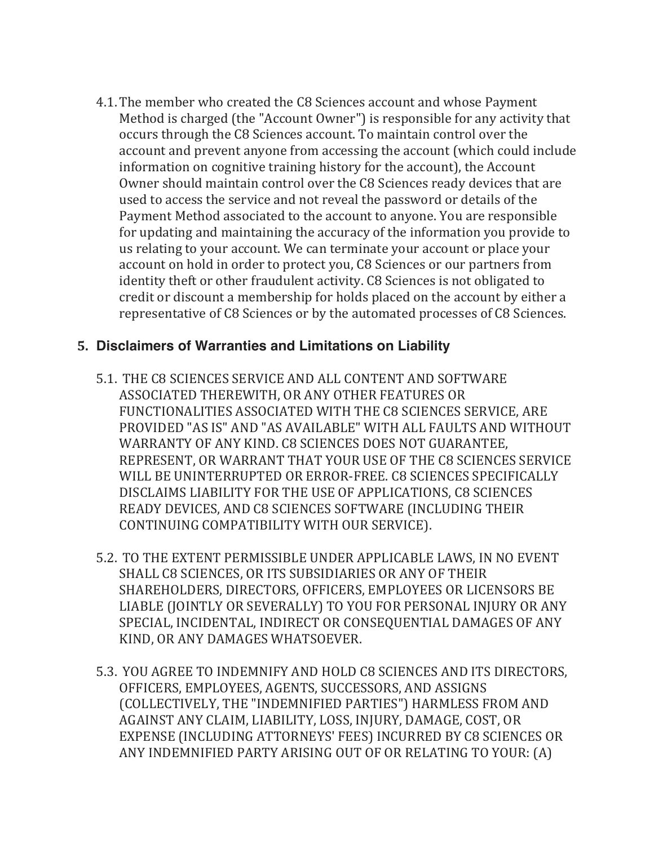4.1. The member who created the C8 Sciences account and whose Payment Method is charged (the "Account Owner") is responsible for any activity that occurs through the C8 Sciences account. To maintain control over the account and prevent anyone from accessing the account (which could include information on cognitive training history for the account), the Account Owner should maintain control over the C8 Sciences ready devices that are used to access the service and not reveal the password or details of the Payment Method associated to the account to anyone. You are responsible for updating and maintaining the accuracy of the information you provide to us relating to your account. We can terminate your account or place your account on hold in order to protect you, C8 Sciences or our partners from identity theft or other fraudulent activity. C8 Sciences is not obligated to credit or discount a membership for holds placed on the account by either a representative of C8 Sciences or by the automated processes of C8 Sciences.

### **5. Disclaimers of Warranties and Limitations on Liability**

- 5.1. THE C8 SCIENCES SERVICE AND ALL CONTENT AND SOFTWARE ASSOCIATED THEREWITH, OR ANY OTHER FEATURES OR FUNCTIONALITIES ASSOCIATED WITH THE C8 SCIENCES SERVICE, ARE PROVIDED "AS IS" AND "AS AVAILABLE" WITH ALL FAULTS AND WITHOUT WARRANTY OF ANY KIND. C8 SCIENCES DOES NOT GUARANTEE, REPRESENT, OR WARRANT THAT YOUR USE OF THE C8 SCIENCES SERVICE WILL BE UNINTERRUPTED OR ERROR-FREE. C8 SCIENCES SPECIFICALLY DISCLAIMS LIABILITY FOR THE USE OF APPLICATIONS, C8 SCIENCES READY DEVICES, AND C8 SCIENCES SOFTWARE (INCLUDING THEIR CONTINUING COMPATIBILITY WITH OUR SERVICE).
- 5.2. TO THE EXTENT PERMISSIBLE UNDER APPLICABLE LAWS, IN NO EVENT SHALL C8 SCIENCES, OR ITS SUBSIDIARIES OR ANY OF THEIR SHAREHOLDERS, DIRECTORS, OFFICERS, EMPLOYEES OR LICENSORS BE LIABLE (JOINTLY OR SEVERALLY) TO YOU FOR PERSONAL INJURY OR ANY SPECIAL, INCIDENTAL, INDIRECT OR CONSEQUENTIAL DAMAGES OF ANY KIND, OR ANY DAMAGES WHATSOEVER.
- 5.3. YOU AGREE TO INDEMNIFY AND HOLD C8 SCIENCES AND ITS DIRECTORS. OFFICERS, EMPLOYEES, AGENTS, SUCCESSORS, AND ASSIGNS (COLLECTIVELY, THE "INDEMNIFIED PARTIES") HARMLESS FROM AND AGAINST ANY CLAIM, LIABILITY, LOSS, INJURY, DAMAGE, COST, OR EXPENSE (INCLUDING ATTORNEYS' FEES) INCURRED BY C8 SCIENCES OR ANY INDEMNIFIED PARTY ARISING OUT OF OR RELATING TO YOUR: (A)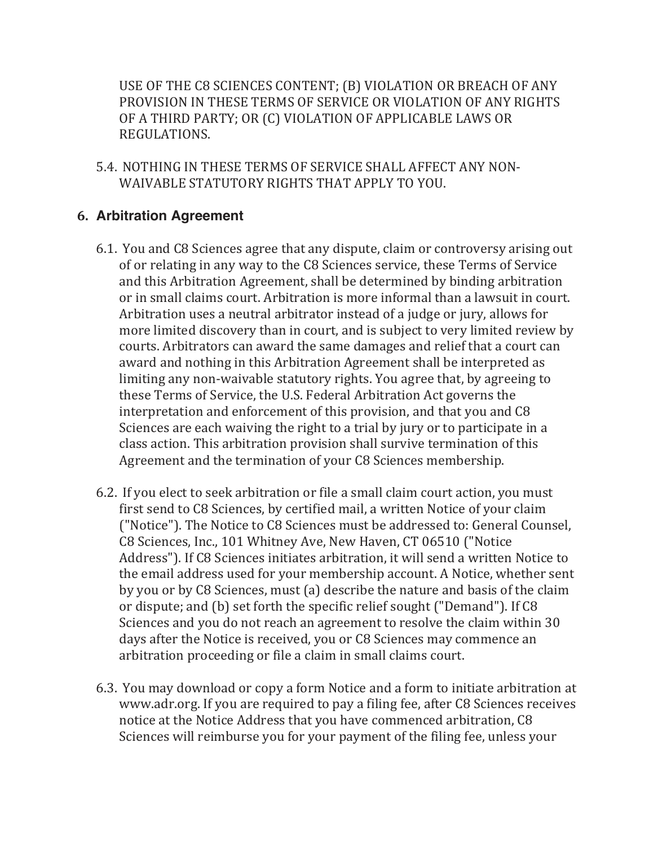USE OF THE C8 SCIENCES CONTENT; (B) VIOLATION OR BREACH OF ANY PROVISION IN THESE TERMS OF SERVICE OR VIOLATION OF ANY RIGHTS OF A THIRD PARTY; OR (C) VIOLATION OF APPLICABLE LAWS OR REGULATIONS.

5.4. NOTHING IN THESE TERMS OF SERVICE SHALL AFFECT ANY NON-WAIVABLE STATUTORY RIGHTS THAT APPLY TO YOU.

## **6. Arbitration Agreement**

- 6.1. You and C8 Sciences agree that any dispute, claim or controversy arising out of or relating in any way to the C8 Sciences service, these Terms of Service and this Arbitration Agreement, shall be determined by binding arbitration or in small claims court. Arbitration is more informal than a lawsuit in court. Arbitration uses a neutral arbitrator instead of a judge or jury, allows for more limited discovery than in court, and is subject to very limited review by courts. Arbitrators can award the same damages and relief that a court can award and nothing in this Arbitration Agreement shall be interpreted as limiting any non-waivable statutory rights. You agree that, by agreeing to these Terms of Service, the U.S. Federal Arbitration Act governs the interpretation and enforcement of this provision, and that you and C8 Sciences are each waiving the right to a trial by jury or to participate in a class action. This arbitration provision shall survive termination of this Agreement and the termination of your C8 Sciences membership.
- 6.2. If you elect to seek arbitration or file a small claim court action, you must first send to C8 Sciences, by certified mail, a written Notice of your claim ("Notice"). The Notice to C8 Sciences must be addressed to: General Counsel, C8 Sciences, Inc., 101 Whitney Ave, New Haven, CT 06510 ("Notice Address"). If C8 Sciences initiates arbitration, it will send a written Notice to the email address used for your membership account. A Notice, whether sent by you or by C8 Sciences, must (a) describe the nature and basis of the claim or dispute; and (b) set forth the specific relief sought ("Demand"). If C8 Sciences and you do not reach an agreement to resolve the claim within 30 days after the Notice is received, you or C8 Sciences may commence an arbitration proceeding or file a claim in small claims court.
- 6.3. You may download or copy a form Notice and a form to initiate arbitration at www.adr.org. If you are required to pay a filing fee, after C8 Sciences receives notice at the Notice Address that you have commenced arbitration, C8 Sciences will reimburse you for your payment of the filing fee, unless your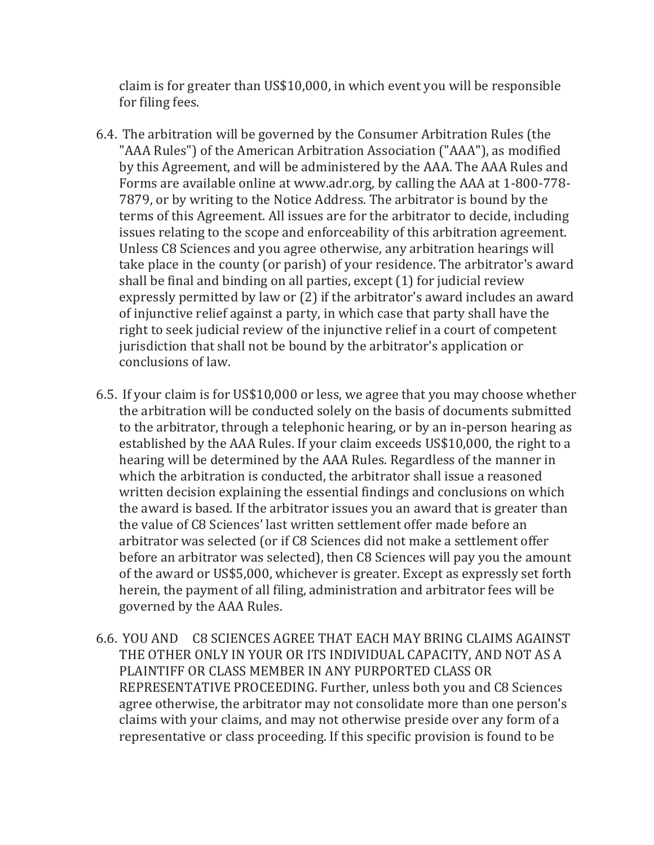claim is for greater than US\$10,000, in which event you will be responsible for filing fees.

- 6.4. The arbitration will be governed by the Consumer Arbitration Rules (the "AAA Rules") of the American Arbitration Association ("AAA"), as modified by this Agreement, and will be administered by the AAA. The AAA Rules and Forms are available online at www.adr.org, by calling the AAA at 1-800-778-7879, or by writing to the Notice Address. The arbitrator is bound by the terms of this Agreement. All issues are for the arbitrator to decide, including issues relating to the scope and enforceability of this arbitration agreement. Unless C8 Sciences and you agree otherwise, any arbitration hearings will take place in the county (or parish) of your residence. The arbitrator's award shall be final and binding on all parties, except  $(1)$  for judicial review expressly permitted by law or (2) if the arbitrator's award includes an award of injunctive relief against a party, in which case that party shall have the right to seek judicial review of the injunctive relief in a court of competent jurisdiction that shall not be bound by the arbitrator's application or conclusions of law.
- 6.5. If your claim is for US\$10,000 or less, we agree that you may choose whether the arbitration will be conducted solely on the basis of documents submitted to the arbitrator, through a telephonic hearing, or by an in-person hearing as established by the AAA Rules. If your claim exceeds US\$10,000, the right to a hearing will be determined by the AAA Rules. Regardless of the manner in which the arbitration is conducted, the arbitrator shall issue a reasoned written decision explaining the essential findings and conclusions on which the award is based. If the arbitrator issues you an award that is greater than the value of C8 Sciences' last written settlement offer made before an arbitrator was selected (or if C8 Sciences did not make a settlement offer before an arbitrator was selected), then C8 Sciences will pay you the amount of the award or US\$5,000, whichever is greater. Except as expressly set forth herein, the payment of all filing, administration and arbitrator fees will be governed by the AAA Rules.
- 6.6. YOU AND C8 SCIENCES AGREE THAT EACH MAY BRING CLAIMS AGAINST THE OTHER ONLY IN YOUR OR ITS INDIVIDUAL CAPACITY, AND NOT AS A PLAINTIFF OR CLASS MEMBER IN ANY PURPORTED CLASS OR REPRESENTATIVE PROCEEDING. Further, unless both you and C8 Sciences agree otherwise, the arbitrator may not consolidate more than one person's claims with your claims, and may not otherwise preside over any form of a representative or class proceeding. If this specific provision is found to be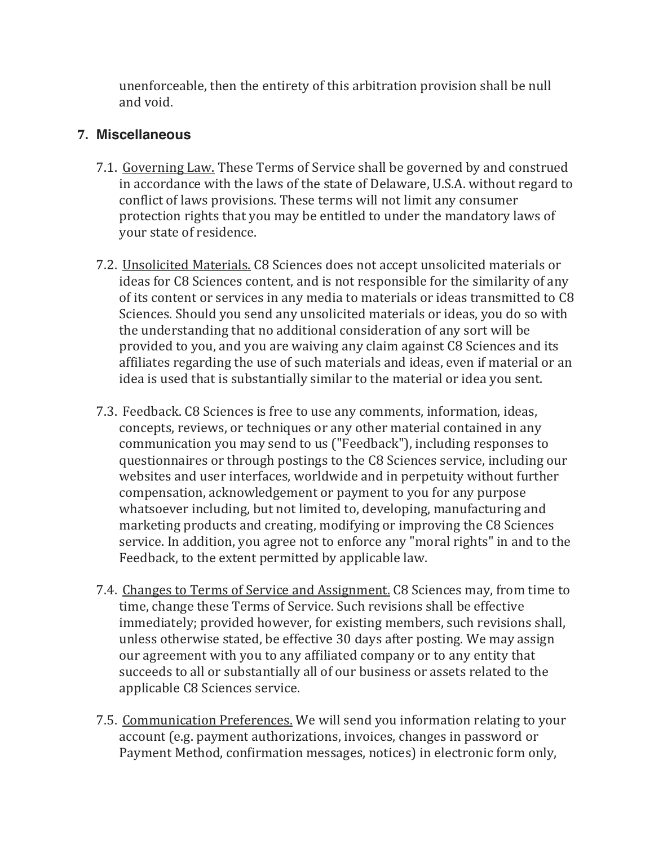unenforceable, then the entirety of this arbitration provision shall be null and void.

#### **7. Miscellaneous**

- 7.1. Governing Law. These Terms of Service shall be governed by and construed in accordance with the laws of the state of Delaware, U.S.A. without regard to conflict of laws provisions. These terms will not limit any consumer protection rights that you may be entitled to under the mandatory laws of your state of residence.
- 7.2. Unsolicited Materials. C8 Sciences does not accept unsolicited materials or ideas for C8 Sciences content, and is not responsible for the similarity of any of its content or services in any media to materials or ideas transmitted to C8 Sciences. Should you send any unsolicited materials or ideas, you do so with the understanding that no additional consideration of any sort will be provided to you, and you are waiving any claim against C8 Sciences and its affiliates regarding the use of such materials and ideas, even if material or an idea is used that is substantially similar to the material or idea you sent.
- 7.3. Feedback. C8 Sciences is free to use any comments, information, ideas, concepts, reviews, or techniques or any other material contained in any communication you may send to us ("Feedback"), including responses to questionnaires or through postings to the C8 Sciences service, including our websites and user interfaces, worldwide and in perpetuity without further compensation, acknowledgement or payment to you for any purpose whatsoever including, but not limited to, developing, manufacturing and marketing products and creating, modifying or improving the C8 Sciences service. In addition, you agree not to enforce any "moral rights" in and to the Feedback, to the extent permitted by applicable law.
- 7.4. Changes to Terms of Service and Assignment. C8 Sciences may, from time to time, change these Terms of Service. Such revisions shall be effective immediately; provided however, for existing members, such revisions shall, unless otherwise stated, be effective 30 days after posting. We may assign our agreement with you to any affiliated company or to any entity that succeeds to all or substantially all of our business or assets related to the applicable C8 Sciences service.
- 7.5. Communication Preferences. We will send you information relating to your account (e.g. payment authorizations, invoices, changes in password or Payment Method, confirmation messages, notices) in electronic form only,